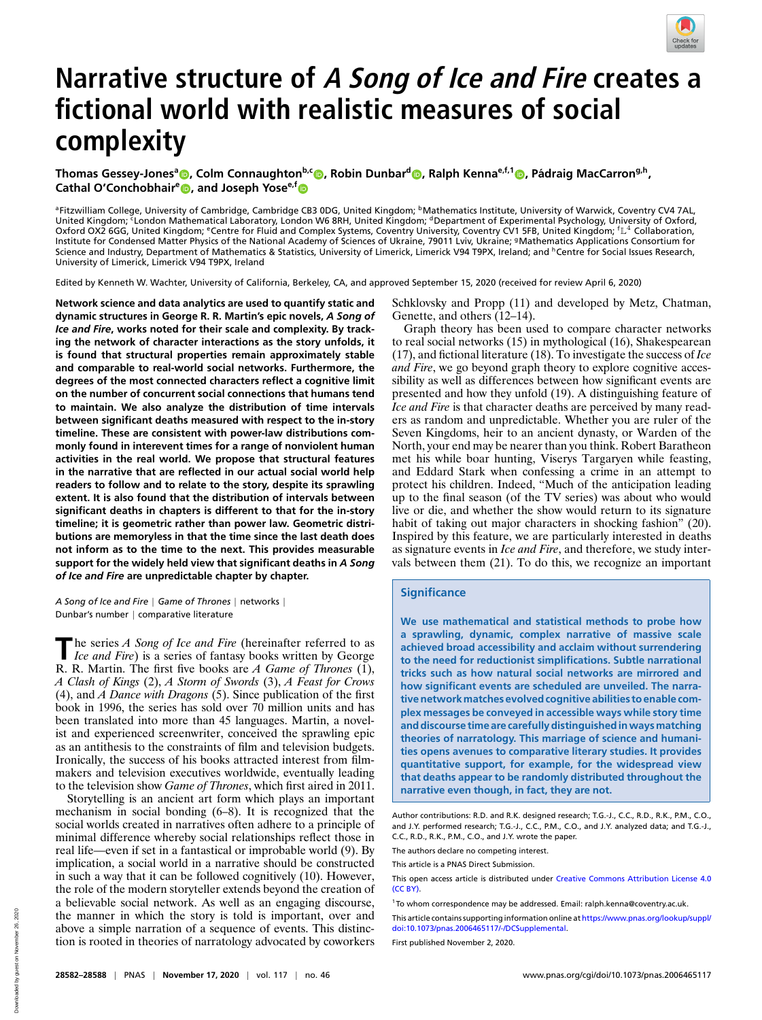

# **Narrative structure of A Song of Ice and Fire creates a fictional world with realistic measures of social complexity**

 $\bar{\bf C}$  Thomas Gessey-Jones $^{\rm a}$   $\rm \odot$  [,](http://orcid.org/0000-0001-9990-4277) Colm Connaughton<sup>b,c</sup>  $\rm \odot$  , Robin Dunbar<sup>d</sup>  $\rm \odot$  , Ralph Kenna<sup>e,f,1</sup>  $\rm \odot$  , Pádraig MacCarron<sup>g,h</sup>, **Cathal O'Conchobhair<sup>e</sup> [,](http://orcid.org/0000-0002-2287-445X) and Joseph Yosee,[f](http://orcid.org/0000-0002-8250-213X)**

<sup>a</sup>Fitzwilliam College, University of Cambridge, Cambridge CB3 0DG, United Kingdom; <sup>b</sup>Mathematics Institute, University of Warwick, Coventry CV4 7AL, United Kingdom; CLondon Mathematical Laboratory, London W6 8RH, United Kingdom; <sup>d</sup>Department of Experimental Psychology, University of Oxford, Oxford OX2 6GG, United Kingdom; <sup>e</sup>Centre for Fluid and Complex Systems, Coventry University, Coventry CV1 5FB, United Kingdom; <sup>f</sup>L<sup>4</sup> Collaboration, Institute for Condensed Matter Physics of the National Academy of Sciences of Ukraine, 79011 Lviv, Ukraine; <sup>9</sup>Mathematics Applications Consortium for Science and Industry, Department of Mathematics & Statistics, University of Limerick, Limerick V94 T9PX, Ireland; and <sup>h</sup>Centre for Social Issues Research, University of Limerick, Limerick V94 T9PX, Ireland

Edited by Kenneth W. Wachter, University of California, Berkeley, CA, and approved September 15, 2020 (received for review April 6, 2020)

**Network science and data analytics are used to quantify static and dynamic structures in George R. R. Martin's epic novels,** *A Song of Ice and Fire***, works noted for their scale and complexity. By tracking the network of character interactions as the story unfolds, it is found that structural properties remain approximately stable and comparable to real-world social networks. Furthermore, the degrees of the most connected characters reflect a cognitive limit on the number of concurrent social connections that humans tend to maintain. We also analyze the distribution of time intervals between significant deaths measured with respect to the in-story timeline. These are consistent with power-law distributions commonly found in interevent times for a range of nonviolent human activities in the real world. We propose that structural features in the narrative that are reflected in our actual social world help readers to follow and to relate to the story, despite its sprawling extent. It is also found that the distribution of intervals between significant deaths in chapters is different to that for the in-story timeline; it is geometric rather than power law. Geometric distributions are memoryless in that the time since the last death does not inform as to the time to the next. This provides measurable support for the widely held view that significant deaths in** *A Song of Ice and Fire* **are unpredictable chapter by chapter.**

*A Song of Ice and Fire* | *Game of Thrones* | networks | Dunbar's number | comparative literature

**The series A Song of Ice and Fire (hereinafter referred to as<br>** *Ice and Fire***) is a series of fantasy books written by George<br>
<b>P.** P. Martin The first five hocks are A Grup of Throug (1) he series *A Song of Ice and Fire* (hereinafter referred to as R. R. Martin. The first five books are *A Game of Thrones* (1), *A Clash of Kings* (2), *A Storm of Swords* (3), *A Feast for Crows* (4), and *A Dance with Dragons* (5). Since publication of the first book in 1996, the series has sold over 70 million units and has been translated into more than 45 languages. Martin, a novelist and experienced screenwriter, conceived the sprawling epic as an antithesis to the constraints of film and television budgets. Ironically, the success of his books attracted interest from filmmakers and television executives worldwide, eventually leading to the television show *Game of Thrones*, which first aired in 2011.

Storytelling is an ancient art form which plays an important mechanism in social bonding (6–8). It is recognized that the social worlds created in narratives often adhere to a principle of minimal difference whereby social relationships reflect those in real life—even if set in a fantastical or improbable world (9). By implication, a social world in a narrative should be constructed in such a way that it can be followed cognitively (10). However, the role of the modern storyteller extends beyond the creation of a believable social network. As well as an engaging discourse, the manner in which the story is told is important, over and above a simple narration of a sequence of events. This distinction is rooted in theories of narratology advocated by coworkers Schklovsky and Propp (11) and developed by Metz, Chatman, Genette, and others (12–14).

Graph theory has been used to compare character networks to real social networks (15) in mythological (16), Shakespearean (17), and fictional literature (18). To investigate the success of *Ice and Fire*, we go beyond graph theory to explore cognitive accessibility as well as differences between how significant events are presented and how they unfold (19). A distinguishing feature of *Ice and Fire* is that character deaths are perceived by many readers as random and unpredictable. Whether you are ruler of the Seven Kingdoms, heir to an ancient dynasty, or Warden of the North, your end may be nearer than you think. Robert Baratheon met his while boar hunting, Viserys Targaryen while feasting, and Eddard Stark when confessing a crime in an attempt to protect his children. Indeed, "Much of the anticipation leading up to the final season (of the TV series) was about who would live or die, and whether the show would return to its signature habit of taking out major characters in shocking fashion" (20). Inspired by this feature, we are particularly interested in deaths as signature events in *Ice and Fire*, and therefore, we study intervals between them (21). To do this, we recognize an important

### **Significance**

**We use mathematical and statistical methods to probe how a sprawling, dynamic, complex narrative of massive scale achieved broad accessibility and acclaim without surrendering to the need for reductionist simplifications. Subtle narrational tricks such as how natural social networks are mirrored and how significant events are scheduled are unveiled. The narrative networkmatches evolved cognitive abilities to enable complex messages be conveyed in accessible ways while story time and discourse time are carefully distinguished inwaysmatching theories of narratology. This marriage of science and humanities opens avenues to comparative literary studies. It provides quantitative support, for example, for the widespread view that deaths appear to be randomly distributed throughout the narrative even though, in fact, they are not.**

This article is a PNAS Direct Submission.

First published November 2, 2020.

Author contributions: R.D. and R.K. designed research; T.G.-J., C.C., R.D., R.K., P.M., C.O., and J.Y. performed research; T.G.-J., C.C., P.M., C.O., and J.Y. analyzed data; and T.G.-J., C.C., R.D., R.K., P.M., C.O., and J.Y. wrote the paper.

The authors declare no competing interest.

This open access article is distributed under [Creative Commons Attribution License 4.0](https://creativecommons.org/licenses/by/4.0/)  $(CC$  BY).

<sup>&</sup>lt;sup>1</sup> To whom correspondence may be addressed. Email: [ralph.kenna@coventry.ac.uk.](mailto:ralph.kenna@coventry.ac.uk)

This article contains supporting information online at [https://www.pnas.org/lookup/suppl/](https://www.pnas.org/lookup/suppl/doi:10.1073/pnas.2006465117/-/DCSupplemental) [doi:10.1073/pnas.2006465117/-/DCSupplemental.](https://www.pnas.org/lookup/suppl/doi:10.1073/pnas.2006465117/-/DCSupplemental)y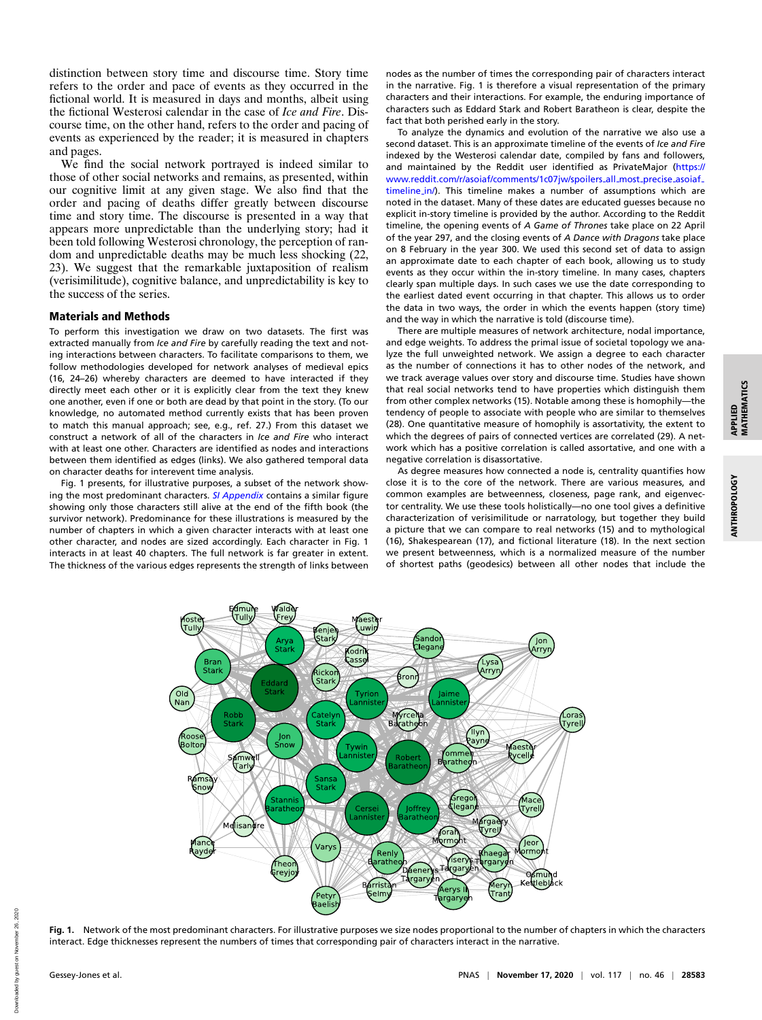distinction between story time and discourse time. Story time refers to the order and pace of events as they occurred in the fictional world. It is measured in days and months, albeit using the fictional Westerosi calendar in the case of *Ice and Fire*. Discourse time, on the other hand, refers to the order and pacing of events as experienced by the reader; it is measured in chapters and pages.

We find the social network portrayed is indeed similar to those of other social networks and remains, as presented, within our cognitive limit at any given stage. We also find that the order and pacing of deaths differ greatly between discourse time and story time. The discourse is presented in a way that appears more unpredictable than the underlying story; had it been told following Westerosi chronology, the perception of random and unpredictable deaths may be much less shocking (22, 23). We suggest that the remarkable juxtaposition of realism (verisimilitude), cognitive balance, and unpredictability is key to the success of the series.

#### Materials and Methods

To perform this investigation we draw on two datasets. The first was extracted manually from *Ice and Fire* by carefully reading the text and noting interactions between characters. To facilitate comparisons to them, we follow methodologies developed for network analyses of medieval epics (16, 24–26) whereby characters are deemed to have interacted if they directly meet each other or it is explicitly clear from the text they knew one another, even if one or both are dead by that point in the story. (To our knowledge, no automated method currently exists that has been proven to match this manual approach; see, e.g., ref. 27.) From this dataset we construct a network of all of the characters in *Ice and Fire* who interact with at least one other. Characters are identified as nodes and interactions between them identified as edges (links). We also gathered temporal data on character deaths for interevent time analysis.

Fig. 1 presents, for illustrative purposes, a subset of the network showing the most predominant characters. *[SI Appendix](https://www.pnas.org/lookup/suppl/doi:10.1073/pnas.2006465117/-/DCSupplemental)* contains a similar figure showing only those characters still alive at the end of the fifth book (the survivor network). Predominance for these illustrations is measured by the number of chapters in which a given character interacts with at least one other character, and nodes are sized accordingly. Each character in Fig. 1 interacts in at least 40 chapters. The full network is far greater in extent. The thickness of the various edges represents the strength of links between

alde

(Fre

Tully

nodes as the number of times the corresponding pair of characters interact in the narrative. Fig. 1 is therefore a visual representation of the primary characters and their interactions. For example, the enduring importance of characters such as Eddard Stark and Robert Baratheon is clear, despite the fact that both perished early in the story.

To analyze the dynamics and evolution of the narrative we also use a second dataset. This is an approximate timeline of the events of *Ice and Fire* indexed by the Westerosi calendar date, compiled by fans and followers, and maintained by the Reddit user identified as PrivateMajor [\(https://](https://www.reddit.com/r/asoiaf/comments/1c07jw/spoilers_all_most_precise_asoiaf_timeline_in/) [www.reddit.com/r/asoiaf/comments/1c07jw/spoilers](https://www.reddit.com/r/asoiaf/comments/1c07jw/spoilers_all_most_precise_asoiaf_timeline_in/)\_all\_most\_precise\_asoiaf\_ [timeline](https://www.reddit.com/r/asoiaf/comments/1c07jw/spoilers_all_most_precise_asoiaf_timeline_in/) in/). This timeline makes a number of assumptions which are noted in the dataset. Many of these dates are educated guesses because no explicit in-story timeline is provided by the author. According to the Reddit timeline, the opening events of *A Game of Thrones* take place on 22 April of the year 297, and the closing events of *A Dance with Dragons* take place on 8 February in the year 300. We used this second set of data to assign an approximate date to each chapter of each book, allowing us to study events as they occur within the in-story timeline. In many cases, chapters clearly span multiple days. In such cases we use the date corresponding to the earliest dated event occurring in that chapter. This allows us to order the data in two ways, the order in which the events happen (story time) and the way in which the narrative is told (discourse time).

There are multiple measures of network architecture, nodal importance, and edge weights. To address the primal issue of societal topology we analyze the full unweighted network. We assign a degree to each character as the number of connections it has to other nodes of the network, and we track average values over story and discourse time. Studies have shown that real social networks tend to have properties which distinguish them from other complex networks (15). Notable among these is homophily—the tendency of people to associate with people who are similar to themselves (28). One quantitative measure of homophily is assortativity, the extent to which the degrees of pairs of connected vertices are correlated (29). A network which has a positive correlation is called assortative, and one with a negative correlation is disassortative.

As degree measures how connected a node is, centrality quantifies how close it is to the core of the network. There are various measures, and common examples are betweenness, closeness, page rank, and eigenvector centrality. We use these tools holistically—no one tool gives a definitive characterization of verisimilitude or narratology, but together they build a picture that we can compare to real networks (15) and to mythological (16), Shakespearean (17), and fictional literature (18). In the next section we present betweenness, which is a normalized measure of the number of shortest paths (geodesics) between all other nodes that include the



**Fig. 1.** Network of the most predominant characters. For illustrative purposes we size nodes proportional to the number of chapters in which the characters interact. Edge thicknesses represent the numbers of times that corresponding pair of characters interact in the narrative.

APPLIED<br>MATHEMATICS MATHEMATICS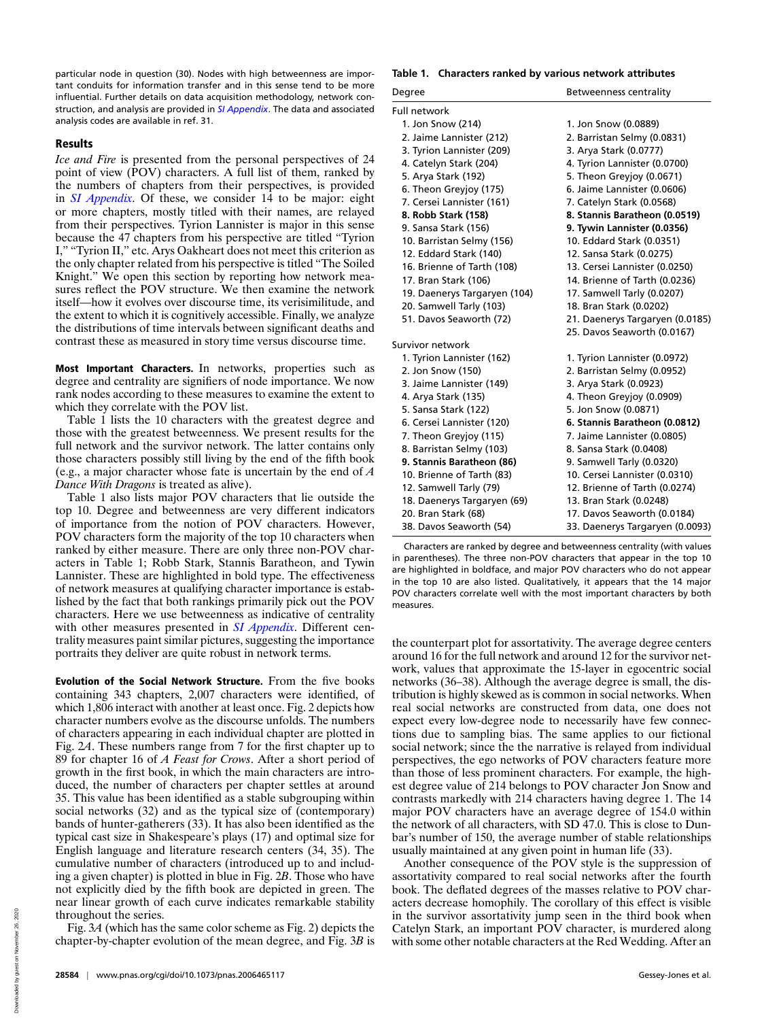particular node in question (30). Nodes with high betweenness are important conduits for information transfer and in this sense tend to be more influential. Further details on data acquisition methodology, network construction, and analysis are provided in *[SI Appendix](https://www.pnas.org/lookup/suppl/doi:10.1073/pnas.2006465117/-/DCSupplemental)*. The data and associated analysis codes are available in ref. 31.

## Results

*Ice and Fire* is presented from the personal perspectives of 24 point of view (POV) characters. A full list of them, ranked by the numbers of chapters from their perspectives, is provided in *[SI Appendix](https://www.pnas.org/lookup/suppl/doi:10.1073/pnas.2006465117/-/DCSupplemental)*. Of these, we consider 14 to be major: eight or more chapters, mostly titled with their names, are relayed from their perspectives. Tyrion Lannister is major in this sense because the 47 chapters from his perspective are titled "Tyrion I," "Tyrion II," etc. Arys Oakheart does not meet this criterion as the only chapter related from his perspective is titled "The Soiled Knight." We open this section by reporting how network measures reflect the POV structure. We then examine the network itself—how it evolves over discourse time, its verisimilitude, and the extent to which it is cognitively accessible. Finally, we analyze the distributions of time intervals between significant deaths and contrast these as measured in story time versus discourse time.

Most Important Characters. In networks, properties such as degree and centrality are signifiers of node importance. We now rank nodes according to these measures to examine the extent to which they correlate with the POV list.

Table 1 lists the 10 characters with the greatest degree and those with the greatest betweenness. We present results for the full network and the survivor network. The latter contains only those characters possibly still living by the end of the fifth book (e.g., a major character whose fate is uncertain by the end of *A Dance With Dragons* is treated as alive).

Table 1 also lists major POV characters that lie outside the top 10. Degree and betweenness are very different indicators of importance from the notion of POV characters. However, POV characters form the majority of the top 10 characters when ranked by either measure. There are only three non-POV characters in Table 1; Robb Stark, Stannis Baratheon, and Tywin Lannister. These are highlighted in bold type. The effectiveness of network measures at qualifying character importance is established by the fact that both rankings primarily pick out the POV characters. Here we use betweenness as indicative of centrality with other measures presented in *[SI Appendix](https://www.pnas.org/lookup/suppl/doi:10.1073/pnas.2006465117/-/DCSupplemental)*. Different centrality measures paint similar pictures, suggesting the importance portraits they deliver are quite robust in network terms.

Evolution of the Social Network Structure. From the five books containing 343 chapters, 2,007 characters were identified, of which 1,806 interact with another at least once. Fig. 2 depicts how character numbers evolve as the discourse unfolds. The numbers of characters appearing in each individual chapter are plotted in Fig. 2*A*. These numbers range from 7 for the first chapter up to 89 for chapter 16 of *A Feast for Crows*. After a short period of growth in the first book, in which the main characters are introduced, the number of characters per chapter settles at around 35. This value has been identified as a stable subgrouping within social networks (32) and as the typical size of (contemporary) bands of hunter-gatherers (33). It has also been identified as the typical cast size in Shakespeare's plays (17) and optimal size for English language and literature research centers (34, 35). The cumulative number of characters (introduced up to and including a given chapter) is plotted in blue in Fig. 2*B*. Those who have not explicitly died by the fifth book are depicted in green. The near linear growth of each curve indicates remarkable stability throughout the series.

Fig. 3*A* (which has the same color scheme as Fig. 2) depicts the chapter-by-chapter evolution of the mean degree, and Fig. 3*B* is

#### **Table 1. Characters ranked by various network attributes**

| Degree                       | Betweenness centrality          |
|------------------------------|---------------------------------|
| <b>Full network</b>          |                                 |
| 1. Jon Snow (214)            | 1. Jon Snow (0.0889)            |
| 2. Jaime Lannister (212)     | 2. Barristan Selmy (0.0831)     |
| 3. Tyrion Lannister (209)    | 3. Arya Stark (0.0777)          |
| 4. Catelyn Stark (204)       | 4. Tyrion Lannister (0.0700)    |
| 5. Arya Stark (192)          | 5. Theon Greviov (0.0671)       |
| 6. Theon Greyjoy (175)       | 6. Jaime Lannister (0.0606)     |
| 7. Cersei Lannister (161)    | 7. Catelyn Stark (0.0568)       |
| 8. Robb Stark (158)          | 8. Stannis Baratheon (0.0519)   |
| 9. Sansa Stark (156)         | 9. Tywin Lannister (0.0356)     |
| 10. Barristan Selmy (156)    | 10. Eddard Stark (0.0351)       |
| 12. Eddard Stark (140)       | 12. Sansa Stark (0.0275)        |
| 16. Brienne of Tarth (108)   | 13. Cersei Lannister (0.0250)   |
| 17. Bran Stark (106)         | 14. Brienne of Tarth (0.0236)   |
| 19. Daenerys Targaryen (104) | 17. Samwell Tarly (0.0207)      |
| 20. Samwell Tarly (103)      | 18. Bran Stark (0.0202)         |
| 51. Davos Seaworth (72)      | 21. Daenerys Targaryen (0.0185) |
|                              | 25. Davos Seaworth (0.0167)     |
| Survivor network             |                                 |
| 1. Tyrion Lannister (162)    | 1. Tyrion Lannister (0.0972)    |
| 2. Jon Snow (150)            | 2. Barristan Selmy (0.0952)     |
| 3. Jaime Lannister (149)     | 3. Arya Stark (0.0923)          |
| 4. Arya Stark (135)          | 4. Theon Greyjoy (0.0909)       |
| 5. Sansa Stark (122)         | 5. Jon Snow (0.0871)            |
| 6. Cersei Lannister (120)    | 6. Stannis Baratheon (0.0812)   |
| 7. Theon Greyjoy (115)       | 7. Jaime Lannister (0.0805)     |
| 8. Barristan Selmy (103)     | 8. Sansa Stark (0.0408)         |
| 9. Stannis Baratheon (86)    | 9. Samwell Tarly (0.0320)       |
| 10. Brienne of Tarth (83)    | 10. Cersei Lannister (0.0310)   |
| 12. Samwell Tarly (79)       | 12. Brienne of Tarth (0.0274)   |
| 18. Daenerys Targaryen (69)  | 13. Bran Stark (0.0248)         |
| 20. Bran Stark (68)          | 17. Davos Seaworth (0.0184)     |
| 38. Davos Seaworth (54)      | 33. Daenerys Targaryen (0.0093) |

Characters are ranked by degree and betweenness centrality (with values in parentheses). The three non-POV characters that appear in the top 10 are highlighted in boldface, and major POV characters who do not appear in the top 10 are also listed. Qualitatively, it appears that the 14 major POV characters correlate well with the most important characters by both measures.

the counterpart plot for assortativity. The average degree centers around 16 for the full network and around 12 for the survivor network, values that approximate the 15-layer in egocentric social networks (36–38). Although the average degree is small, the distribution is highly skewed as is common in social networks. When real social networks are constructed from data, one does not expect every low-degree node to necessarily have few connections due to sampling bias. The same applies to our fictional social network; since the the narrative is relayed from individual perspectives, the ego networks of POV characters feature more than those of less prominent characters. For example, the highest degree value of 214 belongs to POV character Jon Snow and contrasts markedly with 214 characters having degree 1. The 14 major POV characters have an average degree of 154.0 within the network of all characters, with SD 47.0. This is close to Dunbar's number of 150, the average number of stable relationships usually maintained at any given point in human life (33).

Another consequence of the POV style is the suppression of assortativity compared to real social networks after the fourth book. The deflated degrees of the masses relative to POV characters decrease homophily. The corollary of this effect is visible in the survivor assortativity jump seen in the third book when Catelyn Stark, an important POV character, is murdered along with some other notable characters at the Red Wedding. After an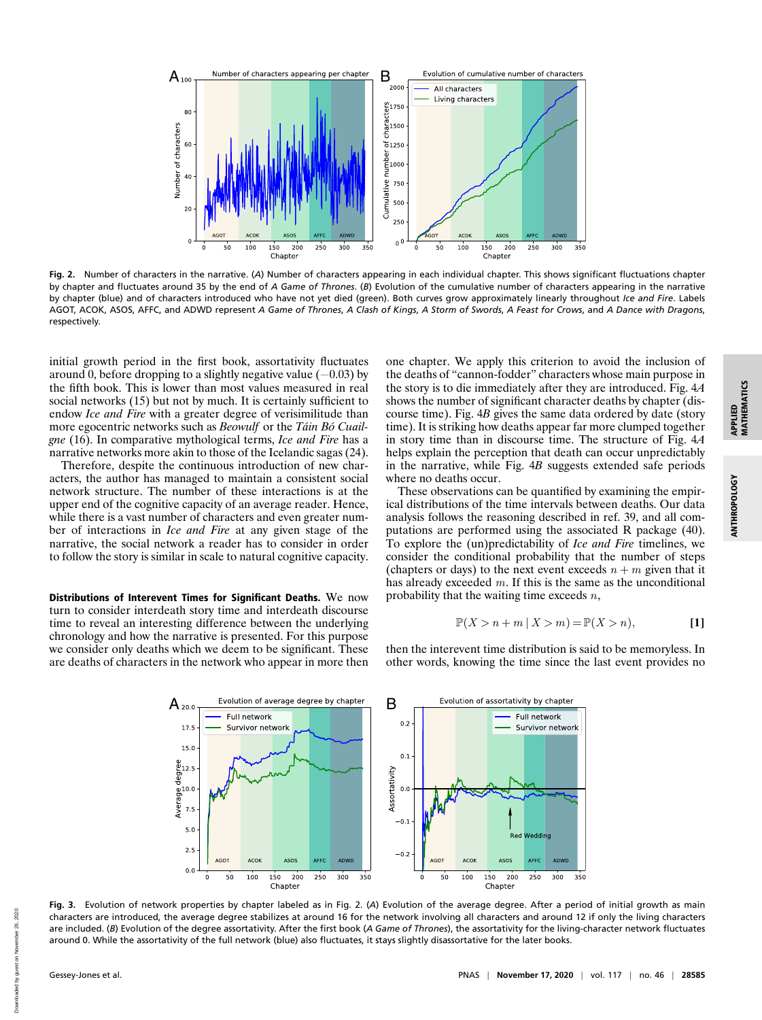

**Fig. 2.** Number of characters in the narrative. (*A*) Number of characters appearing in each individual chapter. This shows significant fluctuations chapter by chapter and fluctuates around 35 by the end of *A Game of Thrones*. (*B*) Evolution of the cumulative number of characters appearing in the narrative by chapter (blue) and of characters introduced who have not yet died (green). Both curves grow approximately linearly throughout *Ice and Fire*. Labels AGOT, ACOK, ASOS, AFFC, and ADWD represent *A Game of Thrones*, *A Clash of Kings*, *A Storm of Swords*, *A Feast for Crows*, and *A Dance with Dragons*, respectively.

initial growth period in the first book, assortativity fluctuates around 0, before dropping to a slightly negative value  $(-0.03)$  by the fifth book. This is lower than most values measured in real social networks (15) but not by much. It is certainly sufficient to endow *Ice and Fire* with a greater degree of verisimilitude than more egocentric networks such as *Beowulf* or the *Táin Bó Cuailgne* (16). In comparative mythological terms, *Ice and Fire* has a narrative networks more akin to those of the Icelandic sagas (24).

Therefore, despite the continuous introduction of new characters, the author has managed to maintain a consistent social network structure. The number of these interactions is at the upper end of the cognitive capacity of an average reader. Hence, while there is a vast number of characters and even greater number of interactions in *Ice and Fire* at any given stage of the narrative, the social network a reader has to consider in order to follow the story is similar in scale to natural cognitive capacity.

Distributions of Interevent Times for Significant Deaths. We now turn to consider interdeath story time and interdeath discourse time to reveal an interesting difference between the underlying chronology and how the narrative is presented. For this purpose we consider only deaths which we deem to be significant. These are deaths of characters in the network who appear in more then one chapter. We apply this criterion to avoid the inclusion of the deaths of "cannon-fodder" characters whose main purpose in the story is to die immediately after they are introduced. Fig. 4*A* shows the number of significant character deaths by chapter (discourse time). Fig. 4*B* gives the same data ordered by date (story time). It is striking how deaths appear far more clumped together in story time than in discourse time. The structure of Fig. 4*A* helps explain the perception that death can occur unpredictably in the narrative, while Fig. 4*B* suggests extended safe periods where no deaths occur.

These observations can be quantified by examining the empirical distributions of the time intervals between deaths. Our data analysis follows the reasoning described in ref. 39, and all computations are performed using the associated R package (40). To explore the (un)predictability of *Ice and Fire* timelines, we consider the conditional probability that the number of steps (chapters or days) to the next event exceeds  $n + m$  given that it has already exceeded  $m$ . If this is the same as the unconditional probability that the waiting time exceeds  $n$ ,

$$
\mathbb{P}(X > n + m \mid X > m) = \mathbb{P}(X > n),\tag{1}
$$

then the interevent time distribution is said to be memoryless. In other words, knowing the time since the last event provides no



**Fig. 3.** Evolution of network properties by chapter labeled as in Fig. 2. (*A*) Evolution of the average degree. After a period of initial growth as main characters are introduced, the average degree stabilizes at around 16 for the network involving all characters and around 12 if only the living characters are included. (*B*) Evolution of the degree assortativity. After the first book (*A Game of Thrones*), the assortativity for the living-character network fluctuates around 0. While the assortativity of the full network (blue) also fluctuates, it stays slightly disassortative for the later books.

2020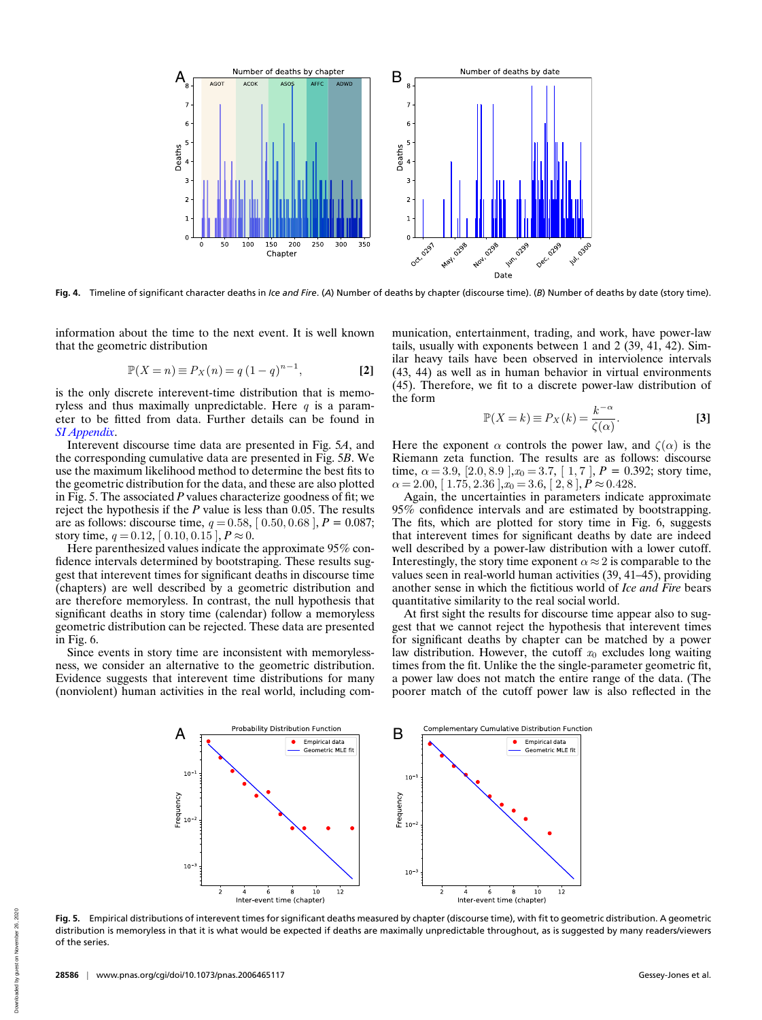

**Fig. 4.** Timeline of significant character deaths in *Ice and Fire*. (*A*) Number of deaths by chapter (discourse time). (*B*) Number of deaths by date (story time).

information about the time to the next event. It is well known that the geometric distribution

$$
\mathbb{P}(X = n) \equiv P_X(n) = q (1 - q)^{n-1},
$$
 [2]

is the only discrete interevent-time distribution that is memoryless and thus maximally unpredictable. Here  $q$  is a parameter to be fitted from data. Further details can be found in *[SI Appendix](https://www.pnas.org/lookup/suppl/doi:10.1073/pnas.2006465117/-/DCSupplemental)*.

Interevent discourse time data are presented in Fig. 5*A*, and the corresponding cumulative data are presented in Fig. 5*B*. We use the maximum likelihood method to determine the best fits to the geometric distribution for the data, and these are also plotted in Fig. 5. The associated *P* values characterize goodness of fit; we reject the hypothesis if the *P* value is less than 0.05. The results are as follows: discourse time,  $q = 0.58$ ,  $[0.50, 0.68]$ ,  $P = 0.087$ ; story time,  $q = 0.12$ ,  $[0.10, 0.15]$ ,  $P \approx 0$ .

Here parenthesized values indicate the approximate 95% confidence intervals determined by bootstraping. These results suggest that interevent times for significant deaths in discourse time (chapters) are well described by a geometric distribution and are therefore memoryless. In contrast, the null hypothesis that significant deaths in story time (calendar) follow a memoryless geometric distribution can be rejected. These data are presented in Fig. 6.

Since events in story time are inconsistent with memorylessness, we consider an alternative to the geometric distribution. Evidence suggests that interevent time distributions for many (nonviolent) human activities in the real world, including communication, entertainment, trading, and work, have power-law tails, usually with exponents between 1 and 2 (39, 41, 42). Similar heavy tails have been observed in interviolence intervals (43, 44) as well as in human behavior in virtual environments (45). Therefore, we fit to a discrete power-law distribution of the form

$$
\mathbb{P}(X=k) \equiv P_X(k) = \frac{k^{-\alpha}}{\zeta(\alpha)}.
$$
 [3]

Here the exponent  $\alpha$  controls the power law, and  $\zeta(\alpha)$  is the Riemann zeta function. The results are as follows: discourse time,  $\alpha = 3.9$ ,  $[2.0, 8.9]$ ,  $x_0 = 3.7$ ,  $[1, 7]$ ,  $P = 0.392$ ; story time,  $\alpha = 2.00, [1.75, 2.36], x_0 = 3.6, [2, 8], P \approx 0.428.$ 

Again, the uncertainties in parameters indicate approximate 95% confidence intervals and are estimated by bootstrapping. The fits, which are plotted for story time in Fig. 6, suggests that interevent times for significant deaths by date are indeed well described by a power-law distribution with a lower cutoff. Interestingly, the story time exponent  $\alpha \approx 2$  is comparable to the values seen in real-world human activities (39, 41–45), providing another sense in which the fictitious world of *Ice and Fire* bears quantitative similarity to the real social world.

At first sight the results for discourse time appear also to suggest that we cannot reject the hypothesis that interevent times for significant deaths by chapter can be matched by a power law distribution. However, the cutoff  $x_0$  excludes long waiting times from the fit. Unlike the the single-parameter geometric fit, a power law does not match the entire range of the data. (The poorer match of the cutoff power law is also reflected in the



**Fig. 5.** Empirical distributions of interevent times for significant deaths measured by chapter (discourse time), with fit to geometric distribution. A geometric distribution is memoryless in that it is what would be expected if deaths are maximally unpredictable throughout, as is suggested by many readers/viewers of the series.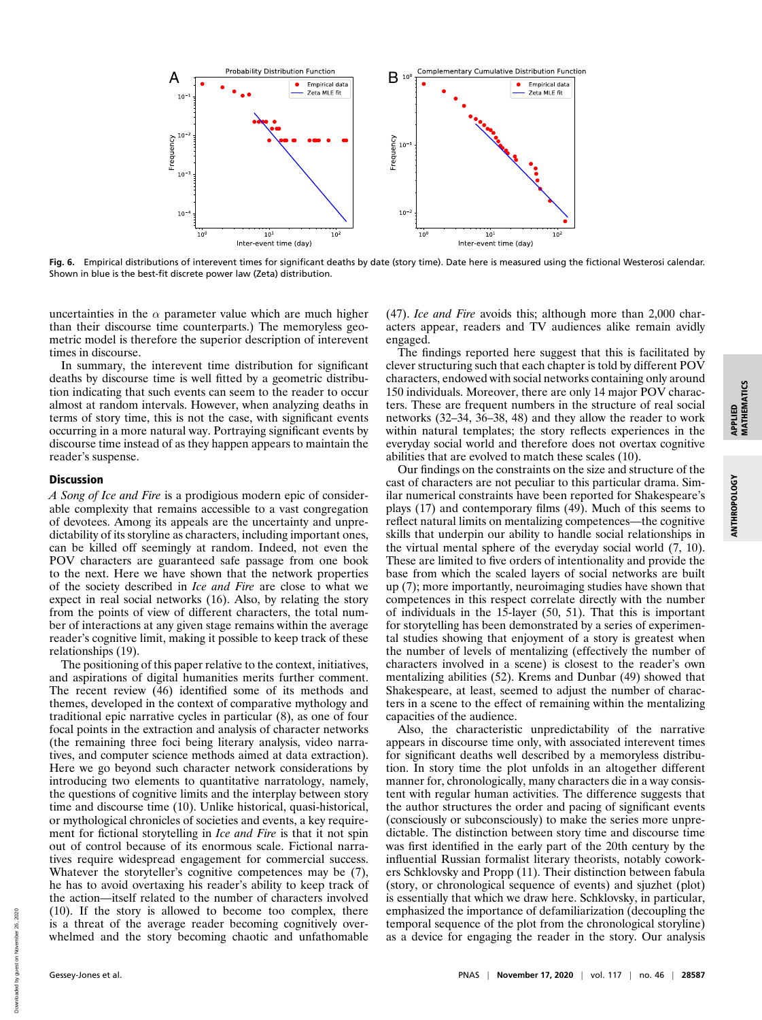APPLIED<br>MATHEMATICS MATHEMATICS

ANTHROPOLOGY

**ANTHROPOLOGY** 



**Fig. 6.** Empirical distributions of interevent times for significant deaths by date (story time). Date here is measured using the fictional Westerosi calendar. Shown in blue is the best-fit discrete power law (Zeta) distribution.

uncertainties in the  $\alpha$  parameter value which are much higher than their discourse time counterparts.) The memoryless geometric model is therefore the superior description of interevent times in discourse.

In summary, the interevent time distribution for significant deaths by discourse time is well fitted by a geometric distribution indicating that such events can seem to the reader to occur almost at random intervals. However, when analyzing deaths in terms of story time, this is not the case, with significant events occurring in a more natural way. Portraying significant events by discourse time instead of as they happen appears to maintain the reader's suspense.

## Discussion

*A Song of Ice and Fire* is a prodigious modern epic of considerable complexity that remains accessible to a vast congregation of devotees. Among its appeals are the uncertainty and unpredictability of its storyline as characters, including important ones, can be killed off seemingly at random. Indeed, not even the POV characters are guaranteed safe passage from one book to the next. Here we have shown that the network properties of the society described in *Ice and Fire* are close to what we expect in real social networks (16). Also, by relating the story from the points of view of different characters, the total number of interactions at any given stage remains within the average reader's cognitive limit, making it possible to keep track of these relationships (19).

The positioning of this paper relative to the context, initiatives, and aspirations of digital humanities merits further comment. The recent review (46) identified some of its methods and themes, developed in the context of comparative mythology and traditional epic narrative cycles in particular (8), as one of four focal points in the extraction and analysis of character networks (the remaining three foci being literary analysis, video narratives, and computer science methods aimed at data extraction). Here we go beyond such character network considerations by introducing two elements to quantitative narratology, namely, the questions of cognitive limits and the interplay between story time and discourse time (10). Unlike historical, quasi-historical, or mythological chronicles of societies and events, a key requirement for fictional storytelling in *Ice and Fire* is that it not spin out of control because of its enormous scale. Fictional narratives require widespread engagement for commercial success. Whatever the storyteller's cognitive competences may be (7), he has to avoid overtaxing his reader's ability to keep track of the action—itself related to the number of characters involved (10). If the story is allowed to become too complex, there is a threat of the average reader becoming cognitively overwhelmed and the story becoming chaotic and unfathomable

(47). *Ice and Fire* avoids this; although more than 2,000 characters appear, readers and TV audiences alike remain avidly engaged.

The findings reported here suggest that this is facilitated by clever structuring such that each chapter is told by different POV characters, endowed with social networks containing only around 150 individuals. Moreover, there are only 14 major POV characters. These are frequent numbers in the structure of real social networks (32–34, 36–38, 48) and they allow the reader to work within natural templates; the story reflects experiences in the everyday social world and therefore does not overtax cognitive abilities that are evolved to match these scales (10).

Our findings on the constraints on the size and structure of the cast of characters are not peculiar to this particular drama. Similar numerical constraints have been reported for Shakespeare's plays (17) and contemporary films (49). Much of this seems to reflect natural limits on mentalizing competences—the cognitive skills that underpin our ability to handle social relationships in the virtual mental sphere of the everyday social world (7, 10). These are limited to five orders of intentionality and provide the base from which the scaled layers of social networks are built up (7); more importantly, neuroimaging studies have shown that competences in this respect correlate directly with the number of individuals in the 15-layer (50, 51). That this is important for storytelling has been demonstrated by a series of experimental studies showing that enjoyment of a story is greatest when the number of levels of mentalizing (effectively the number of characters involved in a scene) is closest to the reader's own mentalizing abilities (52). Krems and Dunbar (49) showed that Shakespeare, at least, seemed to adjust the number of characters in a scene to the effect of remaining within the mentalizing capacities of the audience.

Also, the characteristic unpredictability of the narrative appears in discourse time only, with associated interevent times for significant deaths well described by a memoryless distribution. In story time the plot unfolds in an altogether different manner for, chronologically, many characters die in a way consistent with regular human activities. The difference suggests that the author structures the order and pacing of significant events (consciously or subconsciously) to make the series more unpredictable. The distinction between story time and discourse time was first identified in the early part of the 20th century by the influential Russian formalist literary theorists, notably coworkers Schklovsky and Propp (11). Their distinction between fabula (story, or chronological sequence of events) and sjuzhet (plot) is essentially that which we draw here. Schklovsky, in particular, emphasized the importance of defamiliarization (decoupling the temporal sequence of the plot from the chronological storyline) as a device for engaging the reader in the story. Our analysis